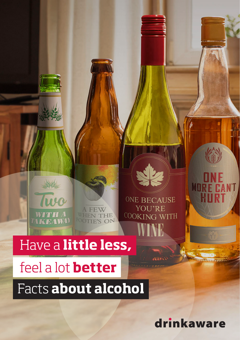

ONE BECAUSE YOU'RE COOKING WITH

# Have a little less,

# feel a lot **better**

Facts about alcohol

drinkaware

**MORE** 

**N'T**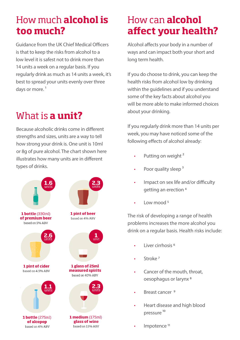### How much **alcohol is too much?**

Guidance from the UK Chief Medical Officers is that to keep the risks from alcohol to a low level it is safest not to drink more than 14 units a week on a regular basis. If you regularly drink as much as 14 units a week, it's best to spread your units evenly over three days or more.<sup>1</sup>

# What is **a unit?**

Because alcoholic drinks come in different strengths and sizes, units are a way to tell how strong your drink is. One unit is 10ml or 8g of pure alcohol. The chart shown here illustrates how many units are in different types of drinks.



# How can **alcohol affect your health?**

Alcohol affects your body in a number of ways and can impact both your short and long term health.

If you do choose to drink, you can keep the health risks from alcohol low by drinking within the guidelines and if you understand some of the key facts about alcohol you will be more able to make informed choices about your drinking.

If you regularly drink more than 14 units per week, you may have noticed some of the following effects of alcohol already:

- Putting on weight<sup>2</sup>
- Poor quality sleep<sup>3</sup>
- Impact on sex life and/or difficulty getting an erection 4
- $\cdot$  Low mood <sup>5</sup>

The risk of developing a range of health problems increases the more alcohol you drink on a regular basis. Health risks include:

- Liver cirrhosis 6
- Stroke 7
- Cancer of the mouth, throat, oesophagus or larynx 8
- Breast cancer 9
- Heart disease and high blood pressure<sup>10</sup>
- Impotence<sup>11</sup>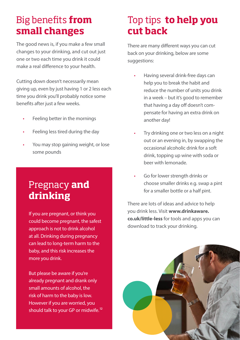#### Big benefits **from small changes**

The good news is, if you make a few small changes to your drinking, and cut out just one or two each time you drink it could make a real difference to your health.

Cutting down doesn't necessarily mean giving up, even by just having 1 or 2 less each time you drink you'll probably notice some benefits after just a few weeks.

- Feeling better in the mornings
- Feeling less tired during the day
- You may stop gaining weight, or lose some pounds

#### Pregnacy **and drinking**

If you are pregnant, or think you could become pregnant, the safest approach is not to drink alcohol at all. Drinking during pregnancy can lead to long-term harm to the baby, and this risk increases the more you drink.

But please be aware if you're already pregnant and drank only small amounts of alcohol, the risk of harm to the baby is low. However if you are worried, you should talk to your GP or midwife.<sup>12</sup>

#### Top tips **to help you cut back**

There are many different ways you can cut back on your drinking, below are some suggestions:

- Having several drink-free days can help you to break the habit and reduce the number of units you drink in a week – but it's good to remember that having a day off doesn't compensate for having an extra drink on another day!
- Try drinking one or two less on a night out or an evening in, by swapping the occasional alcoholic drink for a soft drink, topping up wine with soda or beer with lemonade.
- Go for lower strength drinks or choose smaller drinks e.g. swap a pint for a smaller bottle or a half pint.

There are lots of ideas and advice to help you drink less. Visit **www.drinkaware. co.uk/little-less** for tools and apps you can download to track your drinking.